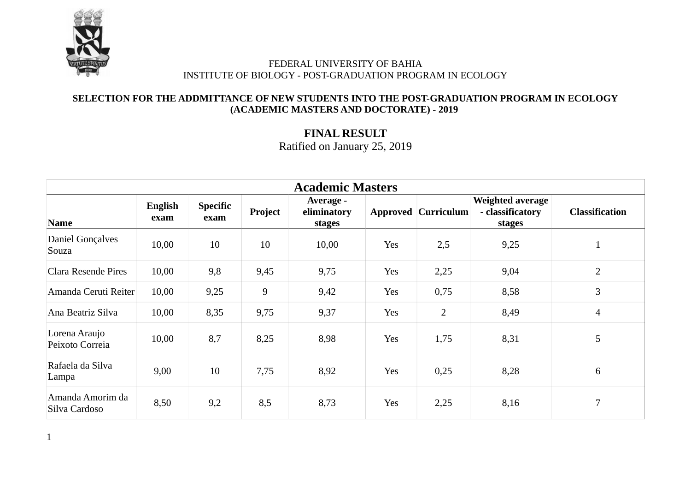

#### **SELECTION FOR THE ADDMITTANCE OF NEW STUDENTS INTO THE POST-GRADUATION PROGRAM IN ECOLOGY (ACADEMIC MASTERS AND DOCTORATE) - 2019**

# **FINAL RESULT** Ratified on January 25, 2019

| <b>Academic Masters</b>           |                 |                         |         |                                    |     |                            |                                                       |                       |  |  |
|-----------------------------------|-----------------|-------------------------|---------|------------------------------------|-----|----------------------------|-------------------------------------------------------|-----------------------|--|--|
| <b>Name</b>                       | English<br>exam | <b>Specific</b><br>exam | Project | Average -<br>eliminatory<br>stages |     | <b>Approved Curriculum</b> | <b>Weighted average</b><br>- classificatory<br>stages | <b>Classification</b> |  |  |
| <b>Daniel Gonçalves</b><br>Souza  | 10,00           | 10                      | 10      | 10,00                              | Yes | 2,5                        | 9,25                                                  | $\mathbf{1}$          |  |  |
| Clara Resende Pires               | 10,00           | 9,8                     | 9,45    | 9,75                               | Yes | 2,25                       | 9,04                                                  | $\overline{2}$        |  |  |
| Amanda Ceruti Reiter              | 10,00           | 9,25                    | $9\,$   | 9,42                               | Yes | 0,75                       | 8,58                                                  | 3                     |  |  |
| Ana Beatriz Silva                 | 10,00           | 8,35                    | 9,75    | 9,37                               | Yes | $\overline{2}$             | 8,49                                                  | $\overline{4}$        |  |  |
| Lorena Araujo<br>Peixoto Correia  | 10,00           | 8,7                     | 8,25    | 8,98                               | Yes | 1,75                       | 8,31                                                  | 5                     |  |  |
| Rafaela da Silva<br>Lampa         | 9,00            | 10                      | 7,75    | 8,92                               | Yes | 0,25                       | 8,28                                                  | 6                     |  |  |
| Amanda Amorim da<br>Silva Cardoso | 8,50            | 9,2                     | 8,5     | 8,73                               | Yes | 2,25                       | 8,16                                                  | 7                     |  |  |

1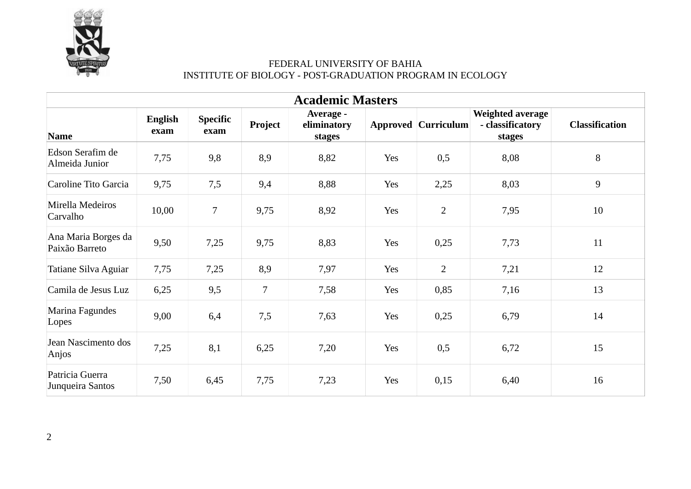

| <b>Academic Masters</b>               |                        |                         |         |                                    |     |                            |                                                       |                       |  |
|---------------------------------------|------------------------|-------------------------|---------|------------------------------------|-----|----------------------------|-------------------------------------------------------|-----------------------|--|
| <b>Name</b>                           | <b>English</b><br>exam | <b>Specific</b><br>exam | Project | Average -<br>eliminatory<br>stages |     | <b>Approved Curriculum</b> | <b>Weighted average</b><br>- classificatory<br>stages | <b>Classification</b> |  |
| Edson Serafim de<br>Almeida Junior    | 7,75                   | 9,8                     | 8,9     | 8,82                               | Yes | 0,5                        | 8,08                                                  | 8                     |  |
| Caroline Tito Garcia                  | 9,75                   | 7,5                     | 9,4     | 8,88                               | Yes | 2,25                       | 8,03                                                  | 9                     |  |
| Mirella Medeiros<br>Carvalho          | 10,00                  | $\overline{7}$          | 9,75    | 8,92                               | Yes | $\overline{2}$             | 7,95                                                  | 10                    |  |
| Ana Maria Borges da<br>Paixão Barreto | 9,50                   | 7,25                    | 9,75    | 8,83                               | Yes | 0,25                       | 7,73                                                  | 11                    |  |
| Tatiane Silva Aguiar                  | 7,75                   | 7,25                    | 8,9     | 7,97                               | Yes | $\overline{2}$             | 7,21                                                  | 12                    |  |
| Camila de Jesus Luz                   | 6,25                   | 9,5                     | 7       | 7,58                               | Yes | 0,85                       | 7,16                                                  | 13                    |  |
| Marina Fagundes<br>Lopes              | 9,00                   | 6,4                     | 7,5     | 7,63                               | Yes | 0,25                       | 6,79                                                  | 14                    |  |
| Jean Nascimento dos<br>Anjos          | 7,25                   | 8,1                     | 6,25    | 7,20                               | Yes | 0,5                        | 6,72                                                  | 15                    |  |
| Patricia Guerra<br>Junqueira Santos   | 7,50                   | 6,45                    | 7,75    | 7,23                               | Yes | 0,15                       | 6,40                                                  | 16                    |  |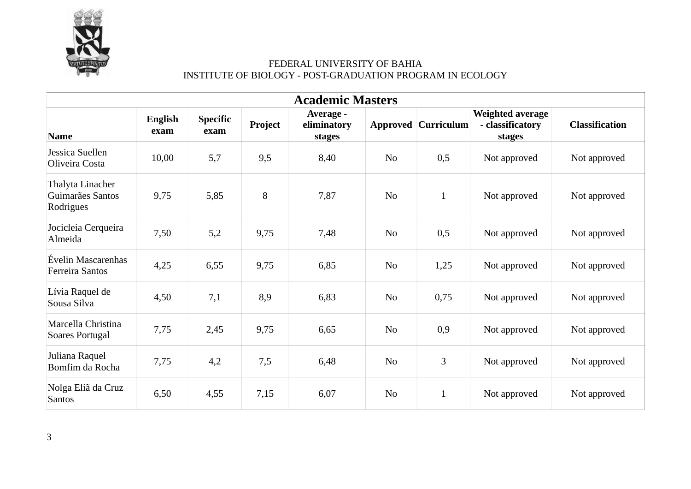

| <b>Academic Masters</b>                           |                        |                         |         |                                    |                |                            |                                                |                       |  |  |
|---------------------------------------------------|------------------------|-------------------------|---------|------------------------------------|----------------|----------------------------|------------------------------------------------|-----------------------|--|--|
| <b>Name</b>                                       | <b>English</b><br>exam | <b>Specific</b><br>exam | Project | Average -<br>eliminatory<br>stages |                | <b>Approved Curriculum</b> | Weighted average<br>- classificatory<br>stages | <b>Classification</b> |  |  |
| Jessica Suellen<br>Oliveira Costa                 | 10,00                  | 5,7                     | 9,5     | 8,40                               | No             | 0,5                        | Not approved                                   | Not approved          |  |  |
| Thalyta Linacher<br>Guimarães Santos<br>Rodrigues | 9,75                   | 5,85                    | 8       | 7,87                               | N <sub>o</sub> | $\mathbf{1}$               | Not approved                                   | Not approved          |  |  |
| Jocicleia Cerqueira<br>Almeida                    | 7,50                   | 5,2                     | 9,75    | 7,48                               | N <sub>o</sub> | 0,5                        | Not approved                                   | Not approved          |  |  |
| Évelin Mascarenhas<br>Ferreira Santos             | 4,25                   | 6,55                    | 9,75    | 6,85                               | No             | 1,25                       | Not approved                                   | Not approved          |  |  |
| Lívia Raquel de<br>Sousa Silva                    | 4,50                   | 7,1                     | 8,9     | 6,83                               | No             | 0,75                       | Not approved                                   | Not approved          |  |  |
| Marcella Christina<br>Soares Portugal             | 7,75                   | 2,45                    | 9,75    | 6,65                               | No             | 0,9                        | Not approved                                   | Not approved          |  |  |
| Juliana Raquel<br>Bomfim da Rocha                 | 7,75                   | 4,2                     | 7,5     | 6,48                               | N <sub>o</sub> | 3                          | Not approved                                   | Not approved          |  |  |
| Nolga Eliã da Cruz<br><b>Santos</b>               | 6,50                   | 4,55                    | 7,15    | 6,07                               | No             | $\mathbf{1}$               | Not approved                                   | Not approved          |  |  |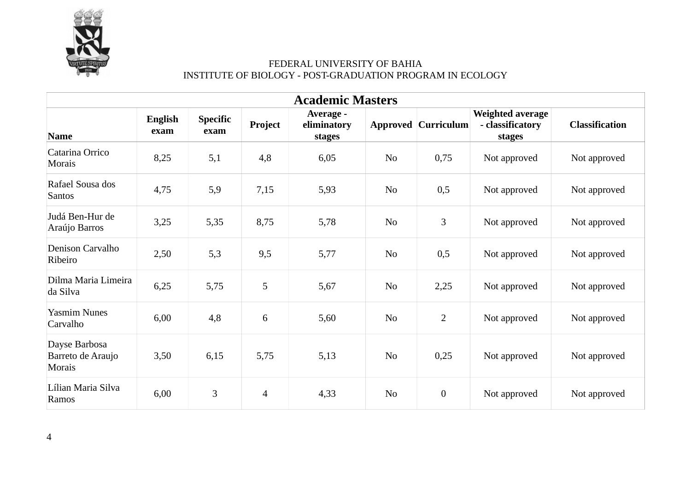

| <b>Academic Masters</b>                             |                        |                         |                |                                    |                |                            |                                                |                       |  |  |
|-----------------------------------------------------|------------------------|-------------------------|----------------|------------------------------------|----------------|----------------------------|------------------------------------------------|-----------------------|--|--|
| <b>Name</b>                                         | <b>English</b><br>exam | <b>Specific</b><br>exam | Project        | Average -<br>eliminatory<br>stages |                | <b>Approved Curriculum</b> | Weighted average<br>- classificatory<br>stages | <b>Classification</b> |  |  |
| Catarina Orrico<br><b>Morais</b>                    | 8,25                   | 5,1                     | 4,8            | 6,05                               | No             | 0,75                       | Not approved                                   | Not approved          |  |  |
| Rafael Sousa dos<br><b>Santos</b>                   | 4,75                   | 5,9                     | 7,15           | 5,93                               | No             | 0,5                        | Not approved                                   | Not approved          |  |  |
| Judá Ben-Hur de<br>Araújo Barros                    | 3,25                   | 5,35                    | 8,75           | 5,78                               | N <sub>o</sub> | 3                          | Not approved                                   | Not approved          |  |  |
| Denison Carvalho<br>Ribeiro                         | 2,50                   | 5,3                     | 9,5            | 5,77                               | N <sub>o</sub> | 0,5                        | Not approved                                   | Not approved          |  |  |
| Dilma Maria Limeira<br>da Silva                     | 6,25                   | 5,75                    | 5              | 5,67                               | N <sub>o</sub> | 2,25                       | Not approved                                   | Not approved          |  |  |
| <b>Yasmim Nunes</b><br>Carvalho                     | 6,00                   | 4,8                     | $\,6\,$        | 5,60                               | No             | $\overline{2}$             | Not approved                                   | Not approved          |  |  |
| Dayse Barbosa<br>Barreto de Araujo<br><b>Morais</b> | 3,50                   | 6,15                    | 5,75           | 5,13                               | N <sub>o</sub> | 0,25                       | Not approved                                   | Not approved          |  |  |
| Lílian Maria Silva<br>Ramos                         | 6,00                   | 3                       | $\overline{4}$ | 4,33                               | N <sub>o</sub> | $\boldsymbol{0}$           | Not approved                                   | Not approved          |  |  |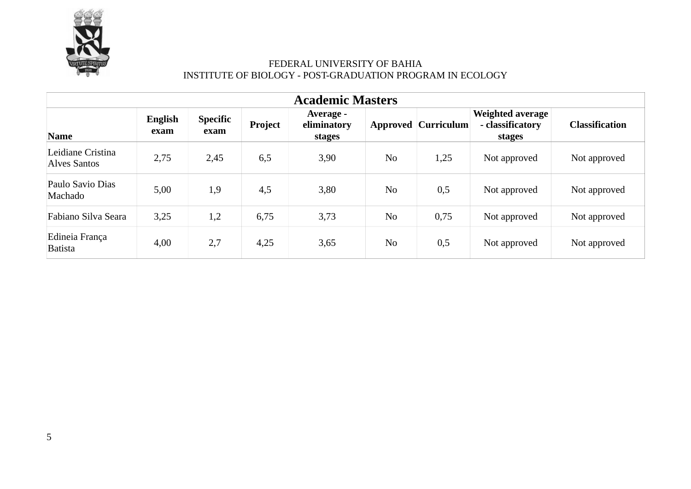

| <b>Academic Masters</b>           |                        |                         |         |                                    |                |                            |                                                |                       |  |  |
|-----------------------------------|------------------------|-------------------------|---------|------------------------------------|----------------|----------------------------|------------------------------------------------|-----------------------|--|--|
| <b>Name</b>                       | <b>English</b><br>exam | <b>Specific</b><br>exam | Project | Average -<br>eliminatory<br>stages |                | <b>Approved Curriculum</b> | Weighted average<br>- classificatory<br>stages | <b>Classification</b> |  |  |
| Leidiane Cristina<br>Alves Santos | 2,75                   | 2,45                    | 6,5     | 3,90                               | N <sub>o</sub> | 1,25                       | Not approved                                   | Not approved          |  |  |
| Paulo Savio Dias<br>Machado       | 5,00                   | 1,9                     | 4,5     | 3,80                               | N <sub>o</sub> | 0,5                        | Not approved                                   | Not approved          |  |  |
| Fabiano Silva Seara               | 3,25                   | 1,2                     | 6,75    | 3,73                               | N <sub>o</sub> | 0,75                       | Not approved                                   | Not approved          |  |  |
| Edineia França<br><b>Batista</b>  | 4,00                   | 2,7                     | 4,25    | 3,65                               | N <sub>o</sub> | 0,5                        | Not approved                                   | Not approved          |  |  |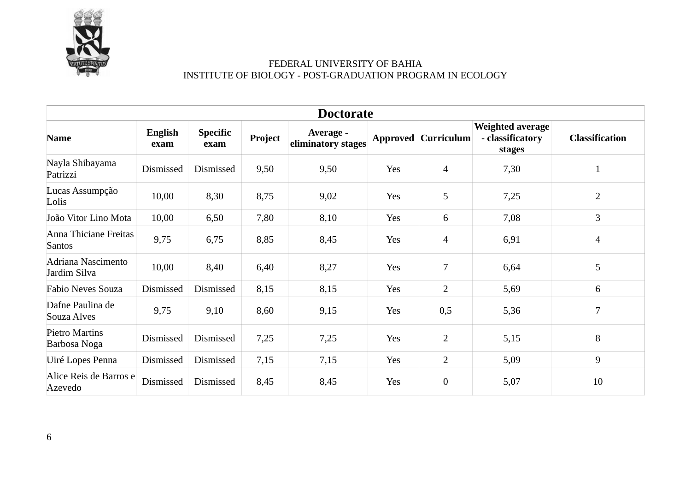

|                                       | <b>Doctorate</b>       |                         |         |                                 |     |                            |                                                       |                       |  |  |
|---------------------------------------|------------------------|-------------------------|---------|---------------------------------|-----|----------------------------|-------------------------------------------------------|-----------------------|--|--|
| <b>Name</b>                           | <b>English</b><br>exam | <b>Specific</b><br>exam | Project | Average -<br>eliminatory stages |     | <b>Approved Curriculum</b> | <b>Weighted average</b><br>- classificatory<br>stages | <b>Classification</b> |  |  |
| Nayla Shibayama<br>Patrizzi           | Dismissed              | Dismissed               | 9,50    | 9,50                            | Yes | $\overline{4}$             | 7,30                                                  | $\mathbf{1}$          |  |  |
| Lucas Assumpção<br>Lolis              | 10,00                  | 8,30                    | 8,75    | 9,02                            | Yes | 5                          | 7,25                                                  | $\overline{2}$        |  |  |
| João Vitor Lino Mota                  | 10,00                  | 6,50                    | 7,80    | 8,10                            | Yes | 6                          | 7,08                                                  | 3                     |  |  |
| Anna Thiciane Freitas<br>Santos       | 9,75                   | 6,75                    | 8,85    | 8,45                            | Yes | $\overline{4}$             | 6,91                                                  | $\overline{4}$        |  |  |
| Adriana Nascimento<br>Jardim Silva    | 10,00                  | 8,40                    | 6,40    | 8,27                            | Yes | 7                          | 6,64                                                  | 5                     |  |  |
| <b>Fabio Neves Souza</b>              | Dismissed              | Dismissed               | 8,15    | 8,15                            | Yes | $\overline{2}$             | 5,69                                                  | 6                     |  |  |
| Dafne Paulina de<br>Souza Alves       | 9,75                   | 9,10                    | 8,60    | 9,15                            | Yes | 0,5                        | 5,36                                                  | 7                     |  |  |
| <b>Pietro Martins</b><br>Barbosa Noga | Dismissed              | Dismissed               | 7,25    | 7,25                            | Yes | $\overline{2}$             | 5,15                                                  | 8                     |  |  |
| Uiré Lopes Penna                      | Dismissed              | Dismissed               | 7,15    | 7,15                            | Yes | 2                          | 5,09                                                  | 9                     |  |  |
| Alice Reis de Barros e<br>Azevedo     | Dismissed              | Dismissed               | 8,45    | 8,45                            | Yes | $\boldsymbol{0}$           | 5,07                                                  | 10                    |  |  |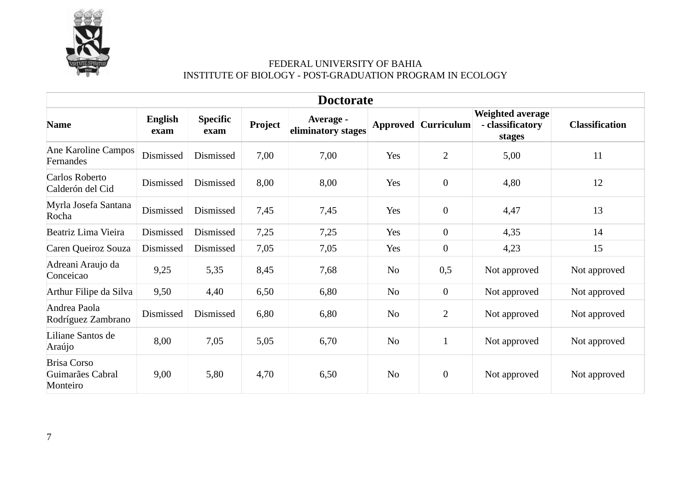

| <b>Doctorate</b>                                   |                        |                         |         |                                 |                |                            |                                                       |                       |  |  |
|----------------------------------------------------|------------------------|-------------------------|---------|---------------------------------|----------------|----------------------------|-------------------------------------------------------|-----------------------|--|--|
| <b>Name</b>                                        | <b>English</b><br>exam | <b>Specific</b><br>exam | Project | Average -<br>eliminatory stages |                | <b>Approved Curriculum</b> | <b>Weighted average</b><br>- classificatory<br>stages | <b>Classification</b> |  |  |
| Ane Karoline Campos<br>Fernandes                   | Dismissed              | Dismissed               | 7,00    | 7,00                            | Yes            | $\overline{2}$             | 5,00                                                  | 11                    |  |  |
| Carlos Roberto<br>Calderón del Cid                 | Dismissed              | Dismissed               | 8,00    | 8,00                            | Yes            | $\boldsymbol{0}$           | 4,80                                                  | 12                    |  |  |
| Myrla Josefa Santana<br>Rocha                      | Dismissed              | Dismissed               | 7,45    | 7,45                            | Yes            | $\mathbf{0}$               | 4,47                                                  | 13                    |  |  |
| Beatriz Lima Vieira                                | Dismissed              | Dismissed               | 7,25    | 7,25                            | Yes            | $\mathbf{0}$               | 4,35                                                  | 14                    |  |  |
| Caren Queiroz Souza                                | Dismissed              | Dismissed               | 7,05    | 7,05                            | Yes            | $\mathbf{0}$               | 4,23                                                  | 15                    |  |  |
| Adreani Araujo da<br>Conceicao                     | 9,25                   | 5,35                    | 8,45    | 7,68                            | N <sub>0</sub> | 0,5                        | Not approved                                          | Not approved          |  |  |
| Arthur Filipe da Silva                             | 9,50                   | 4,40                    | 6,50    | 6,80                            | No             | $\boldsymbol{0}$           | Not approved                                          | Not approved          |  |  |
| Andrea Paola<br>Rodríguez Zambrano                 | Dismissed              | Dismissed               | 6,80    | 6,80                            | No             | $\overline{2}$             | Not approved                                          | Not approved          |  |  |
| Liliane Santos de<br>Araújo                        | 8,00                   | 7,05                    | 5,05    | 6,70                            | No             | $\mathbf{1}$               | Not approved                                          | Not approved          |  |  |
| <b>Brisa Corso</b><br>Guimarães Cabral<br>Monteiro | 9,00                   | 5,80                    | 4,70    | 6,50                            | No             | $\boldsymbol{0}$           | Not approved                                          | Not approved          |  |  |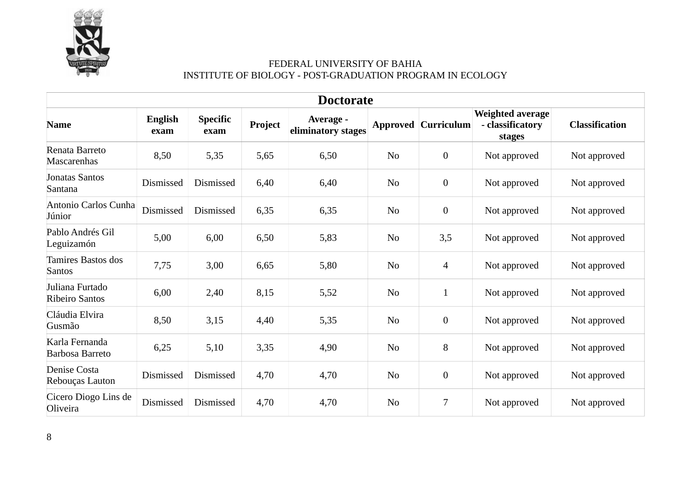

| <b>Doctorate</b>                         |                        |                         |         |                                 |                |                            |                                                       |                       |  |
|------------------------------------------|------------------------|-------------------------|---------|---------------------------------|----------------|----------------------------|-------------------------------------------------------|-----------------------|--|
| <b>Name</b>                              | <b>English</b><br>exam | <b>Specific</b><br>exam | Project | Average -<br>eliminatory stages |                | <b>Approved Curriculum</b> | <b>Weighted average</b><br>- classificatory<br>stages | <b>Classification</b> |  |
| Renata Barreto<br>Mascarenhas            | 8,50                   | 5,35                    | 5,65    | 6,50                            | N <sub>o</sub> | $\boldsymbol{0}$           | Not approved                                          | Not approved          |  |
| <b>Jonatas Santos</b><br>Santana         | Dismissed              | Dismissed               | 6,40    | 6,40                            | N <sub>o</sub> | $\boldsymbol{0}$           | Not approved                                          | Not approved          |  |
| Antonio Carlos Cunha<br>Júnior           | Dismissed              | Dismissed               | 6,35    | 6,35                            | No             | $\mathbf{0}$               | Not approved                                          | Not approved          |  |
| Pablo Andrés Gil<br>Leguizamón           | 5,00                   | 6,00                    | 6,50    | 5,83                            | N <sub>0</sub> | 3,5                        | Not approved                                          | Not approved          |  |
| Tamires Bastos dos<br>Santos             | 7,75                   | 3,00                    | 6,65    | 5,80                            | No             | $\overline{4}$             | Not approved                                          | Not approved          |  |
| Juliana Furtado<br><b>Ribeiro Santos</b> | 6,00                   | 2,40                    | 8,15    | 5,52                            | N <sub>o</sub> | $\mathbf{1}$               | Not approved                                          | Not approved          |  |
| Cláudia Elvira<br>Gusmão                 | 8,50                   | 3,15                    | 4,40    | 5,35                            | N <sub>o</sub> | $\boldsymbol{0}$           | Not approved                                          | Not approved          |  |
| Karla Fernanda<br>Barbosa Barreto        | 6,25                   | 5,10                    | 3,35    | 4,90                            | N <sub>o</sub> | 8                          | Not approved                                          | Not approved          |  |
| Denise Costa<br>Rebouças Lauton          | Dismissed              | Dismissed               | 4,70    | 4,70                            | N <sub>o</sub> | $\boldsymbol{0}$           | Not approved                                          | Not approved          |  |
| Cicero Diogo Lins de<br>Oliveira         | Dismissed              | Dismissed               | 4,70    | 4,70                            | N <sub>o</sub> | 7                          | Not approved                                          | Not approved          |  |